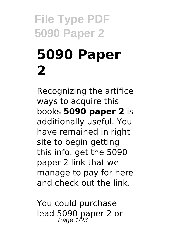# **File Type PDF 5090 Paper 2 5090 Paper 2**

Recognizing the artifice ways to acquire this books **5090 paper 2** is additionally useful. You have remained in right site to begin getting this info. get the 5090 paper 2 link that we manage to pay for here and check out the link.

You could purchase lead 5090 paper 2 or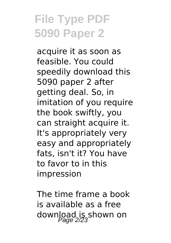acquire it as soon as feasible. You could speedily download this 5090 paper 2 after getting deal. So, in imitation of you require the book swiftly, you can straight acquire it. It's appropriately very easy and appropriately fats, isn't it? You have to favor to in this impression

The time frame a book is available as a free download is shown on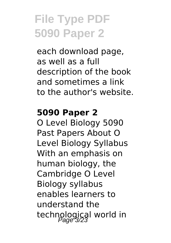each download page, as well as a full description of the book and sometimes a link to the author's website.

#### **5090 Paper 2**

O Level Biology 5090 Past Papers About O Level Biology Syllabus With an emphasis on human biology, the Cambridge O Level Biology syllabus enables learners to understand the technological world in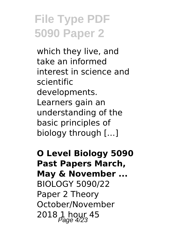which they live, and take an informed interest in science and scientific developments. Learners gain an understanding of the basic principles of biology through […]

**O Level Biology 5090 Past Papers March, May & November ...** BIOLOGY 5090/22 Paper 2 Theory October/November 2018  $1$  hour 45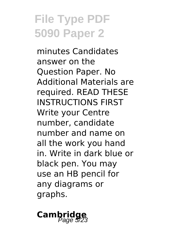minutes Candidates answer on the Question Paper. No Additional Materials are required. READ THESE INSTRUCTIONS FIRST Write your Centre number, candidate number and name on all the work you hand in. Write in dark blue or black pen. You may use an HB pencil for any diagrams or graphs.

# **Cambridge**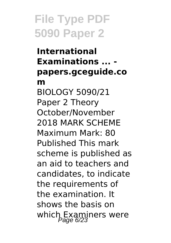**International Examinations ... papers.gceguide.co m** BIOLOGY 5090/21 Paper 2 Theory October/November 2018 MARK SCHEME Maximum Mark: 80 Published This mark scheme is published as an aid to teachers and candidates, to indicate the requirements of the examination. It shows the basis on which Examiners were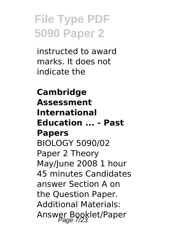instructed to award marks. It does not indicate the

#### **Cambridge Assessment International Education ... - Past Papers** BIOLOGY 5090/02 Paper 2 Theory May/June 2008 1 hour 45 minutes Candidates answer Section A on the Question Paper. Additional Materials: Answer Booklet/Paper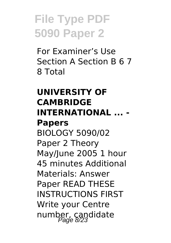For Examiner's Use Section A Section B 6 7 8 Total

#### **UNIVERSITY OF CAMBRIDGE INTERNATIONAL ... - Papers**

BIOLOGY 5090/02 Paper 2 Theory May/June 2005 1 hour 45 minutes Additional Materials: Answer Paper READ THESE INSTRUCTIONS FIRST Write your Centre number, candidate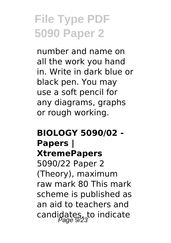number and name on all the work you hand in. Write in dark blue or black pen. You may use a soft pencil for any diagrams, graphs or rough working.

#### **BIOLOGY 5090/02 - Papers | XtremePapers** 5090/22 Paper 2 (Theory), maximum raw mark 80 This mark scheme is published as an aid to teachers and candidates, to indicate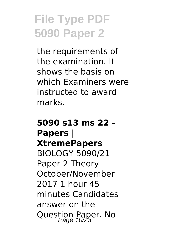the requirements of the examination. It shows the basis on which Examiners were instructed to award marks.

#### **5090 s13 ms 22 - Papers | XtremePapers** BIOLOGY 5090/21 Paper 2 Theory October/November 2017 1 hour 45 minutes Candidates answer on the Question Paper. No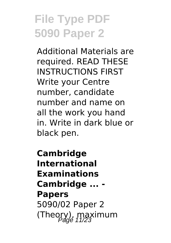Additional Materials are required. READ THESE INSTRUCTIONS FIRST Write your Centre number, candidate number and name on all the work you hand in. Write in dark blue or black pen.

**Cambridge International Examinations Cambridge ... - Papers** 5090/02 Paper 2 (Theory), maximum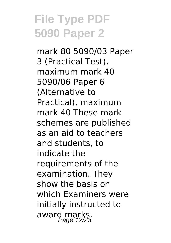mark 80 5090/03 Paper 3 (Practical Test), maximum mark 40 5090/06 Paper 6 (Alternative to Practical), maximum mark 40 These mark schemes are published as an aid to teachers and students, to indicate the requirements of the examination. They show the basis on which Examiners were initially instructed to award marks.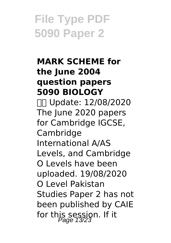#### **MARK SCHEME for the June 2004 question papers 5090 BIOLOGY**

 Update: 12/08/2020 The June 2020 papers for Cambridge IGCSE, Cambridge International A/AS Levels, and Cambridge O Levels have been uploaded. 19/08/2020 O Level Pakistan Studies Paper 2 has not been published by CAIE for this session. If it  $P_{age}$  13/23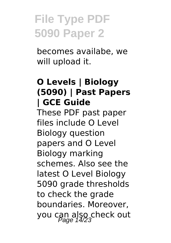becomes availabe, we will upload it.

#### **O Levels | Biology (5090) | Past Papers | GCE Guide**

These PDF past paper files include O Level Biology question papers and O Level Biology marking schemes. Also see the latest O Level Biology 5090 grade thresholds to check the grade boundaries. Moreover, you can also check out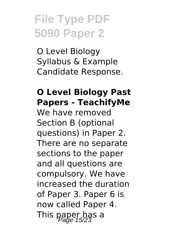O Level Biology Syllabus & Example Candidate Response.

#### **O Level Biology Past Papers - TeachifyMe**

We have removed Section B (optional questions) in Paper 2. There are no separate sections to the paper and all questions are compulsory. We have increased the duration of Paper 3. Paper 6 is now called Paper 4. This paper has a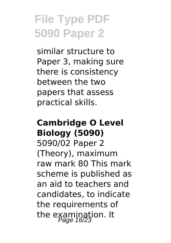similar structure to Paper 3, making sure there is consistency between the two papers that assess practical skills.

#### **Cambridge O Level Biology (5090)**

5090/02 Paper 2 (Theory), maximum raw mark 80 This mark scheme is published as an aid to teachers and candidates, to indicate the requirements of the examination. It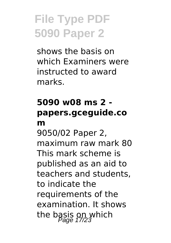shows the basis on which Examiners were instructed to award marks.

#### **5090 w08 ms 2 papers.gceguide.co m**

9050/02 Paper 2, maximum raw mark 80 This mark scheme is published as an aid to teachers and students, to indicate the requirements of the examination. It shows the basis on which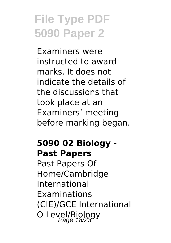Examiners were instructed to award marks. It does not indicate the details of the discussions that took place at an Examiners' meeting before marking began.

#### **5090 02 Biology - Past Papers**

Past Papers Of Home/Cambridge International Examinations (CIE)/GCE International O Level/Biology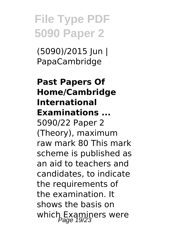(5090)/2015 Jun | PapaCambridge

**Past Papers Of Home/Cambridge International Examinations ...** 5090/22 Paper 2 (Theory), maximum raw mark 80 This mark scheme is published as an aid to teachers and candidates, to indicate the requirements of the examination. It shows the basis on which Examiners were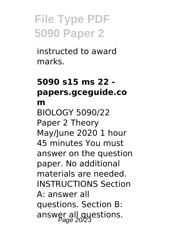instructed to award marks.

#### **5090 s15 ms 22 papers.gceguide.co m** BIOLOGY 5090/22 Paper 2 Theory May/June 2020 1 hour 45 minutes You must answer on the question paper. No additional materials are needed. INSTRUCTIONS Section A: answer all questions. Section B: answer all questions.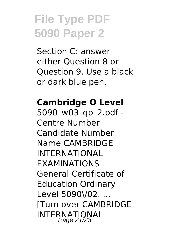Section C: answer either Question 8 or Question 9. Use a black or dark blue pen.

#### **Cambridge O Level**

5090\_w03\_qp\_2.pdf - Centre Number Candidate Number Name CAMBRIDGE INTERNATIONAL EXAMINATIONS General Certificate of Education Ordinary Level 5090\/02. ... [Turn over CAMBRIDGE INTERNATIONAL